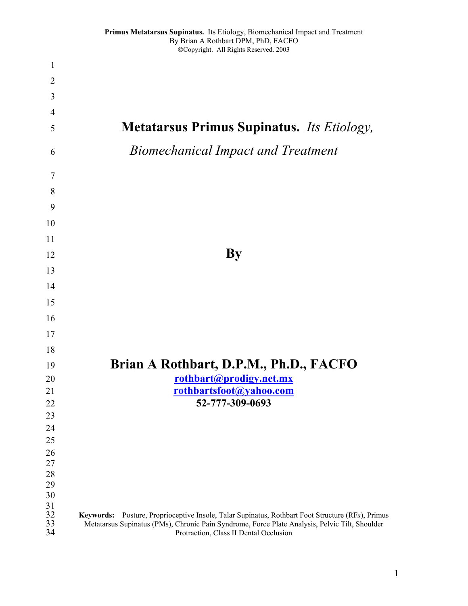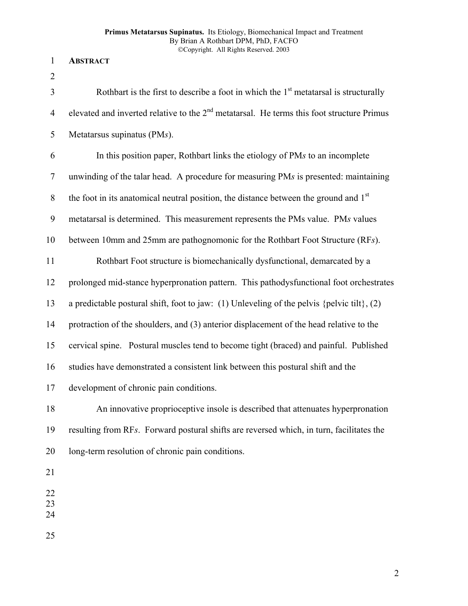# 1 **ABSTRACT**

2

3 4 5 6 7 8 9 10 11 12 13 14 15 16 17 18 19 20 21 22 Rothbart is the first to describe a foot in which the  $1<sup>st</sup>$  metatarsal is structurally elevated and inverted relative to the  $2<sup>nd</sup>$  metatarsal. He terms this foot structure Primus Metatarsus supinatus (PM*s*). In this position paper, Rothbart links the etiology of PM*s* to an incomplete unwinding of the talar head. A procedure for measuring PM*s* is presented: maintaining the foot in its anatomical neutral position, the distance between the ground and  $1<sup>st</sup>$ metatarsal is determined. This measurement represents the PMs value. PM*s* values between 10mm and 25mm are pathognomonic for the Rothbart Foot Structure (RF*s*). Rothbart Foot structure is biomechanically dysfunctional, demarcated by a prolonged mid-stance hyperpronation pattern. This pathodysfunctional foot orchestrates a predictable postural shift, foot to jaw: (1) Unleveling of the pelvis {pelvic tilt}, (2) protraction of the shoulders, and (3) anterior displacement of the head relative to the cervical spine. Postural muscles tend to become tight (braced) and painful. Published studies have demonstrated a consistent link between this postural shift and the development of chronic pain conditions. An innovative proprioceptive insole is described that attenuates hyperpronation resulting from RF*s*. Forward postural shifts are reversed which, in turn, facilitates the long-term resolution of chronic pain conditions.

- 23 24
- 
- 25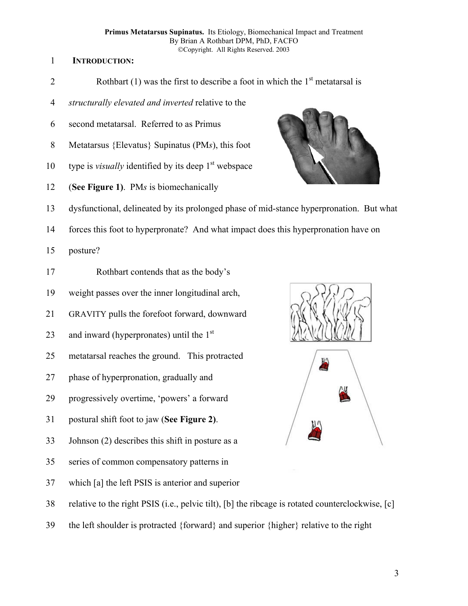# 1 **INTRODUCTION:**

- 2 Rothbart (1) was the first to describe a foot in which the  $1<sup>st</sup>$  metatarsal is
- 4 *structurally elevated and inverted* relative to the
- 6 second metatarsal. Referred to as Primus
- 8 Metatarsus {Elevatus} Supinatus (PM*s*), this foot
- 10 type is *visually* identified by its deep 1<sup>st</sup> webspace
- 12 (**See Figure 1)**. PM*s* is biomechanically

13 dysfunctional, delineated by its prolonged phase of mid-stance hyperpronation. But what

14 forces this foot to hyperpronate? And what impact does this hyperpronation have on

15 posture?

- 17 Rothbart contends that as the body's
- 19 weight passes over the inner longitudinal arch,
- 21 GRAVITY pulls the forefoot forward, downward
- 23 and inward (hyperpronates) until the  $1<sup>st</sup>$
- 25 metatarsal reaches the ground. This protracted
- 27 phase of hyperpronation, gradually and
- 29 progressively overtime, 'powers' a forward
- 31 postural shift foot to jaw (**See Figure 2)**.
- 33 Johnson (2) describes this shift in posture as a
- 35 series of common compensatory patterns in
- 37 which [a] the left PSIS is anterior and superior
- 38 relative to the right PSIS (i.e., pelvic tilt), [b] the ribcage is rotated counterclockwise, [c]
- 39 the left shoulder is protracted {forward} and superior {higher} relative to the right



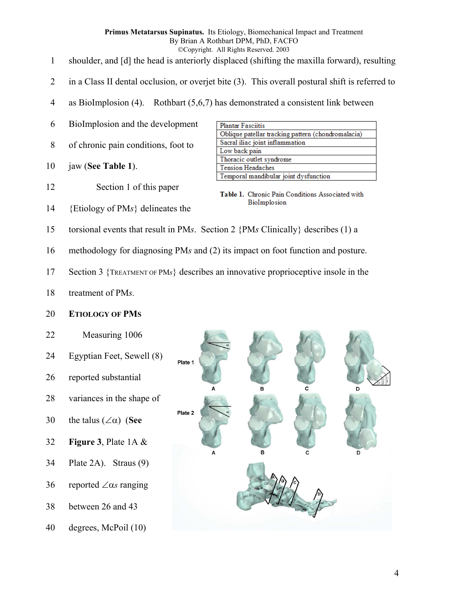- 1 shoulder, and [d] the head is anteriorly displaced (shifting the maxilla forward), resulting
- 2 in a Class II dental occlusion, or overjet bite (3). This overall postural shift is referred to

4 as BioImplosion (4). Rothbart (5,6,7) has demonstrated a consistent link between

- 6 BioImplosion and the development
- 8 of chronic pain conditions, foot to

10 jaw (**See Table 1**).

- 12 Section 1 of this paper
- **Plantar Fasciitis** Oblique patellar tracking pattern (chondromalacia) Sacral iliac joint inflammation Low back pain Thoracic outlet syndrome **Tension Headaches** Temporal mandibular joint dysfunction

Table 1. Chronic Pain Conditions Associated with BioImplosion

14 {Etiology of PM*s*} delineates the

15 torsional events that result in PM*s*. Section 2 {PM*s* Clinically} describes (1) a

16 methodology for diagnosing PM*s* and (2) its impact on foot function and posture.

- 17 Section 3 {TREATMENT OF PM*s*} describes an innovative proprioceptive insole in the
- 18 treatment of PM*s.*

#### 20 **ETIOLOGY OF PMS**

- 22 Measuring 1006
- 24 Egyptian Feet, Sewell (8)
- 26 reported substantial
- 28 variances in the shape of
- 30 the talus (∠α) (**See**
- 32 **Figure 3**, Plate 1A &
- 34 Plate 2A). Straus (9)
- 36 reported ∠α*s* ranging
- 38 between 26 and 43
- 40 degrees, McPoil (10)

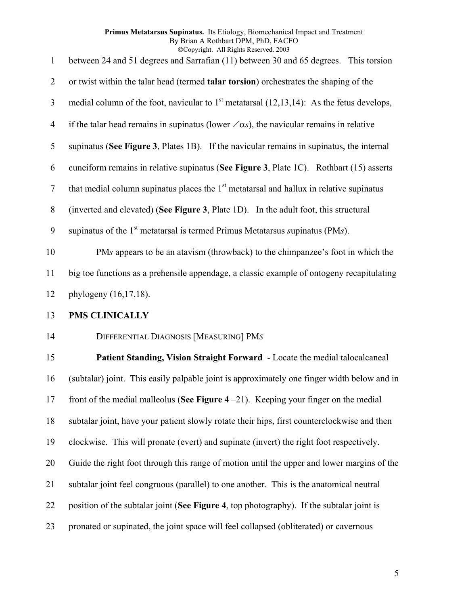| $\mathbf{1}$             | between 24 and 51 degrees and Sarrafian (11) between 30 and 65 degrees. This torsion                 |
|--------------------------|------------------------------------------------------------------------------------------------------|
| $\overline{2}$           | or twist within the talar head (termed talar torsion) orchestrates the shaping of the                |
| 3                        | medial column of the foot, navicular to $1st$ metatarsal (12,13,14): As the fetus develops,          |
| $\overline{4}$           | if the talar head remains in supinatus (lower $\angle \alpha s$ ), the navicular remains in relative |
| 5                        | supinatus (See Figure 3, Plates 1B). If the navicular remains in supinatus, the internal             |
| 6                        | cuneiform remains in relative supinatus (See Figure 3, Plate 1C). Rothbart (15) asserts              |
| $\overline{\mathcal{L}}$ | that medial column supinatus places the $1st$ metatarsal and hallux in relative supinatus            |
| $8\,$                    | (inverted and elevated) (See Figure 3, Plate 1D). In the adult foot, this structural                 |
| 9                        | supinatus of the $1st$ metatarsal is termed Primus Metatarsus supinatus (PMs).                       |
| 10                       | PMs appears to be an atavism (throwback) to the chimpanzee's foot in which the                       |
| 11                       | big toe functions as a prehensile appendage, a classic example of ontogeny recapitulating            |
| 12                       | phylogeny $(16, 17, 18)$ .                                                                           |
| 13                       | <b>PMS CLINICALLY</b>                                                                                |
| 14                       | DIFFERENTIAL DIAGNOSIS [MEASURING] PMS                                                               |
| 15                       | Patient Standing, Vision Straight Forward - Locate the medial talocalcaneal                          |
| 16                       | (subtalar) joint. This easily palpable joint is approximately one finger width below and in          |
| 17                       | front of the medial malleolus (See Figure $4-21$ ). Keeping your finger on the medial                |
| 18                       | subtalar joint, have your patient slowly rotate their hips, first counterclockwise and then          |
| 19                       | clockwise. This will pronate (evert) and supinate (invert) the right foot respectively.              |
| 20                       | Guide the right foot through this range of motion until the upper and lower margins of the           |
| 21                       | subtalar joint feel congruous (parallel) to one another. This is the anatomical neutral              |
| 22                       | position of the subtalar joint (See Figure 4, top photography). If the subtalar joint is             |
| 23                       | pronated or supinated, the joint space will feel collapsed (obliterated) or cavernous                |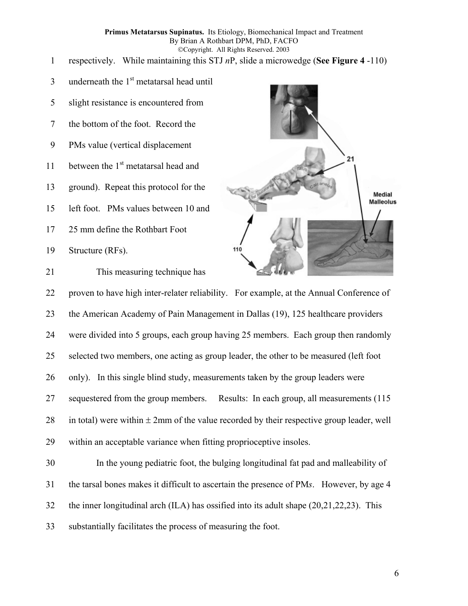- respectively. While maintaining this STJ *n*P, slide a microwedge (**See Figure 4** -110) 1
- underneath the 1<sup>st</sup> metatarsal head until 3
- 5 slight resistance is encountered from
- 7 the bottom of the foot. Record the
- 9 PMs value (vertical displacement
- 11 between the 1<sup>st</sup> metatarsal head and
- 13 ground). Repeat this protocol for the
- 15 left foot. PMs values between 10 and
- 17 25 mm define the Rothbart Foot
- 19 Structure (RFs).
- 21 This measuring technique has



22 23 24 25 26 27 28 29 proven to have high inter-relater reliability. For example, at the Annual Conference of the American Academy of Pain Management in Dallas (19), 125 healthcare providers were divided into 5 groups, each group having 25 members. Each group then randomly selected two members, one acting as group leader, the other to be measured (left foot only). In this single blind study, measurements taken by the group leaders were sequestered from the group members. Results: In each group, all measurements (115 in total) were within  $\pm 2$ mm of the value recorded by their respective group leader, well within an acceptable variance when fitting proprioceptive insoles.

30 31 32 33 In the young pediatric foot, the bulging longitudinal fat pad and malleability of the tarsal bones makes it difficult to ascertain the presence of PM*s*. However, by age 4 the inner longitudinal arch (ILA) has ossified into its adult shape (20,21,22,23). This substantially facilitates the process of measuring the foot.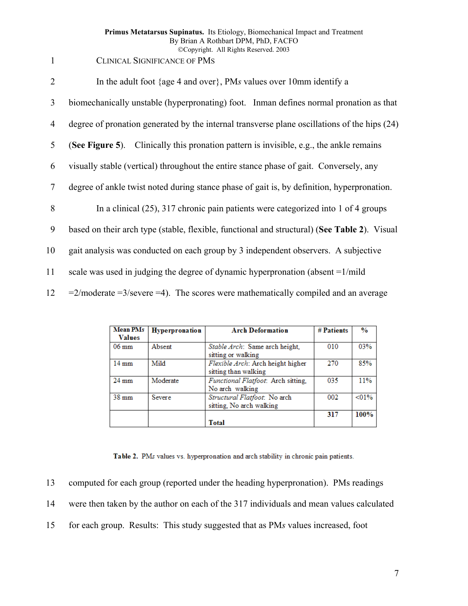| 2              | In the adult foot $\{age 4 \text{ and over}\}$ , PMs values over 10mm identify a             |
|----------------|----------------------------------------------------------------------------------------------|
| $\overline{3}$ | biomechanically unstable (hyperpronating) foot. Inman defines normal pronation as that       |
| $\overline{4}$ | degree of pronation generated by the internal transverse plane oscillations of the hips (24) |
| 5              | (See Figure 5). Clinically this pronation pattern is invisible, e.g., the ankle remains      |
| 6              | visually stable (vertical) throughout the entire stance phase of gait. Conversely, any       |
| $\overline{7}$ | degree of ankle twist noted during stance phase of gait is, by definition, hyperpronation.   |
| 8              | In a clinical $(25)$ , 317 chronic pain patients were categorized into 1 of 4 groups         |
| 9              | based on their arch type (stable, flexible, functional and structural) (See Table 2). Visual |
| 10             | gait analysis was conducted on each group by 3 independent observers. A subjective           |
| 11             | scale was used in judging the degree of dynamic hyperpronation (absent $=1$ /mild            |
| 12             | $=2$ /moderate $=3$ /severe $=4$ ). The scores were mathematically compiled and an average   |

| <b>Mean PMs</b> | Hyperpronation | <b>Arch Deformation</b>            | # Patients | $\frac{0}{0}$ |
|-----------------|----------------|------------------------------------|------------|---------------|
| <b>Values</b>   |                |                                    |            |               |
| $06 \text{ mm}$ | Absent         | Stable Arch: Same arch height,     | 010        | 03%           |
|                 |                | sitting or walking                 |            |               |
| $14 \text{ mm}$ | Mild           | Flexible Arch: Arch height higher  | 270        | 85%           |
|                 |                | sitting than walking               |            |               |
| $24 \text{ mm}$ | Moderate       | Functional Flatfoot: Arch sitting. | 035        | 11%           |
|                 |                | No arch walking                    |            |               |
| $38 \text{ mm}$ | Severe         | Structural Flatfoot: No arch       | 002        | $< 01\%$      |
|                 |                | sitting, No arch walking           |            |               |
|                 |                |                                    | 317        | 100%          |
|                 |                | Total                              |            |               |

Table 2. PMs values vs. hyperpronation and arch stability in chronic pain patients.

13 14 15 computed for each group (reported under the heading hyperpronation). PMs readings were then taken by the author on each of the 317 individuals and mean values calculated for each group. Results: This study suggested that as PM*s* values increased, foot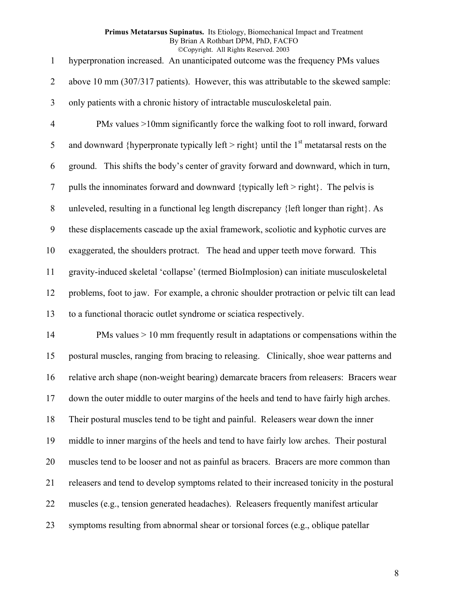| $\mathbf{1}$     | hyperpronation increased. An unanticipated outcome was the frequency PMs values                        |
|------------------|--------------------------------------------------------------------------------------------------------|
| $\overline{2}$   | above 10 mm (307/317 patients). However, this was attributable to the skewed sample:                   |
| $\mathfrak{Z}$   | only patients with a chronic history of intractable musculoskeletal pain.                              |
| $\overline{4}$   | PMs values >10mm significantly force the walking foot to roll inward, forward                          |
| 5                | and downward {hyperpronate typically left > right} until the $1st$ metatarsal rests on the             |
| 6                | ground. This shifts the body's center of gravity forward and downward, which in turn,                  |
| $\overline{7}$   | pulls the innominates forward and downward $\{ \text{typically left} > \text{right} \}.$ The pelvis is |
| $8\,$            | unleveled, resulting in a functional leg length discrepancy {left longer than right}. As               |
| $\boldsymbol{9}$ | these displacements cascade up the axial framework, scoliotic and kyphotic curves are                  |
| 10               | exaggerated, the shoulders protract. The head and upper teeth move forward. This                       |
| 11               | gravity-induced skeletal 'collapse' (termed BioImplosion) can initiate musculoskeletal                 |
| 12               | problems, foot to jaw. For example, a chronic shoulder protraction or pelvic tilt can lead             |
| 13               | to a functional thoracic outlet syndrome or sciatica respectively.                                     |
| 14               | PMs values $> 10$ mm frequently result in adaptations or compensations within the                      |
| 15               | postural muscles, ranging from bracing to releasing. Clinically, shoe wear patterns and                |
| 16               | relative arch shape (non-weight bearing) demarcate bracers from releasers: Bracers wear                |
| 17               | down the outer middle to outer margins of the heels and tend to have fairly high arches.               |
| 18               | Their postural muscles tend to be tight and painful. Releasers wear down the inner                     |
| 19               | middle to inner margins of the heels and tend to have fairly low arches. Their postural                |
| 20               | muscles tend to be looser and not as painful as bracers. Bracers are more common than                  |
| 21               | releasers and tend to develop symptoms related to their increased tonicity in the postural             |
| 22               | muscles (e.g., tension generated headaches). Releasers frequently manifest articular                   |
| 23               | symptoms resulting from abnormal shear or torsional forces (e.g., oblique patellar                     |

8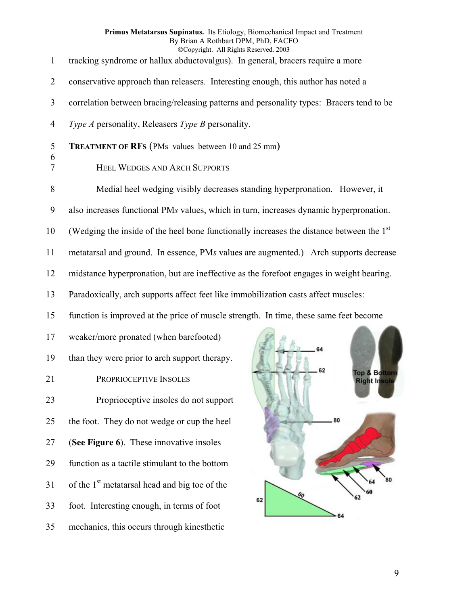1 2 3 4 5 6 7 8 9 10 11 12 tracking syndrome or hallux abductovalgus). In general, bracers require a more conservative approach than releasers. Interesting enough, this author has noted a correlation between bracing/releasing patterns and personality types: Bracers tend to be *Type A* personality, Releasers *Type B* personality. **TREATMENT OF RFS** (PMs values between 10 and 25 mm) HEEL WEDGES AND ARCH SUPPORTS Medial heel wedging visibly decreases standing hyperpronation. However, it also increases functional PM*s* values, which in turn, increases dynamic hyperpronation. (Wedging the inside of the heel bone functionally increases the distance between the 1<sup>st</sup> metatarsal and ground. In essence, PM*s* values are augmented.) Arch supports decrease midstance hyperpronation, but are ineffective as the forefoot engages in weight bearing.

13 Paradoxically, arch supports affect feet like immobilization casts affect muscles:

15 function is improved at the price of muscle strength. In time, these same feet become

17 weaker/more pronated (when barefooted)

19 than they were prior to arch support therapy.

21 PROPRIOCEPTIVE INSOLES

23 25 27 Proprioceptive insoles do not support the foot. They do not wedge or cup the heel (**See Figure 6**). These innovative insoles

29 31 function as a tactile stimulant to the bottom of the  $1<sup>st</sup>$  metatarsal head and big toe of the

33 foot. Interesting enough, in terms of foot

35 mechanics, this occurs through kinesthetic

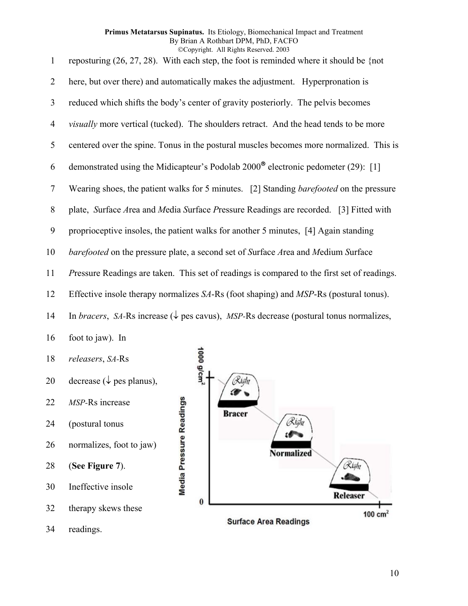reposturing  $(26, 27, 28)$ . With each step, the foot is reminded where it should be {not here, but over there) and automatically makes the adjustment. Hyperpronation is reduced which shifts the body's center of gravity posteriorly. The pelvis becomes *visually* more vertical (tucked). The shoulders retract. And the head tends to be more centered over the spine. Tonus in the postural muscles becomes more normalized. This is demonstrated using the Midicapteur's Podolab  $2000^{\circ}$  electronic pedometer (29): [1] 1 2 3 4 5 6 7 8 9 10 11 12 14 16 Wearing shoes, the patient walks for 5 minutes. [2] Standing *barefooted* on the pressure plate, *S*urface *A*rea and *M*edia *S*urface *P*ressure Readings are recorded. [3] Fitted with proprioceptive insoles, the patient walks for another 5 minutes, [4] Again standing *barefooted* on the pressure plate, a second set of *S*urface *A*rea and *M*edium *S*urface *P*ressure Readings are taken. This set of readings is compared to the first set of readings. Effective insole therapy normalizes *SA*-Rs (foot shaping) and *MSP*-Rs (postural tonus). In *bracers*, *SA*-Rs increase ( $\downarrow$  pes cavus), *MSP*-Rs decrease (postural tonus normalizes, foot to jaw). In

- 18 *releasers*, *SA-*Rs
- 20 decrease ( $\downarrow$  pes planus),
- 22 *MSP-*Rs increase
- 24 (postural tonus
- 26 normalizes, foot to jaw)
- 28 (**See Figure 7**).
- 30 Ineffective insole
- 32 therapy skews these
- 34 readings.

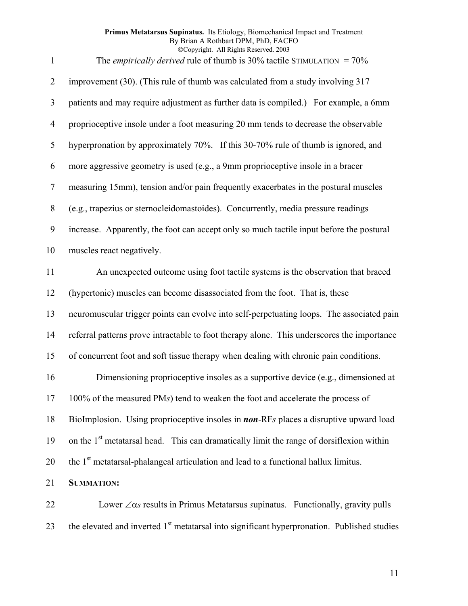The *empirically derived* rule of thumb is 30% tactile STIMULATION =  $70\%$ improvement (30). (This rule of thumb was calculated from a study involving 317 patients and may require adjustment as further data is compiled.) For example, a 6mm proprioceptive insole under a foot measuring 20 mm tends to decrease the observable hyperpronation by approximately 70%. If this 30-70% rule of thumb is ignored, and more aggressive geometry is used (e.g., a 9mm proprioceptive insole in a bracer measuring 15mm), tension and/or pain frequently exacerbates in the postural muscles (e.g., trapezius or sternocleidomastoides). Concurrently, media pressure readings increase. Apparently, the foot can accept only so much tactile input before the postural muscles react negatively. 1 2 3 4 5 6 7 8 9 10 11 12 13 14 15 16 17 18 19 20 21 22 An unexpected outcome using foot tactile systems is the observation that braced (hypertonic) muscles can become disassociated from the foot. That is, these neuromuscular trigger points can evolve into self-perpetuating loops. The associated pain referral patterns prove intractable to foot therapy alone. This underscores the importance of concurrent foot and soft tissue therapy when dealing with chronic pain conditions. Dimensioning proprioceptive insoles as a supportive device (e.g., dimensioned at 100% of the measured PM*s*) tend to weaken the foot and accelerate the process of BioImplosion. Using proprioceptive insoles in *non*-RF*s* places a disruptive upward load on the  $1<sup>st</sup>$  metatarsal head. This can dramatically limit the range of dorsiflexion within the  $1<sup>st</sup>$  metatarsal-phalangeal articulation and lead to a functional hallux limitus. **SUMMATION:** Lower ∠α*s* results in Primus Metatarsus *s*upinatus. Functionally, gravity pulls

23 the elevated and inverted  $1<sup>st</sup>$  metatarsal into significant hyperpronation. Published studies

11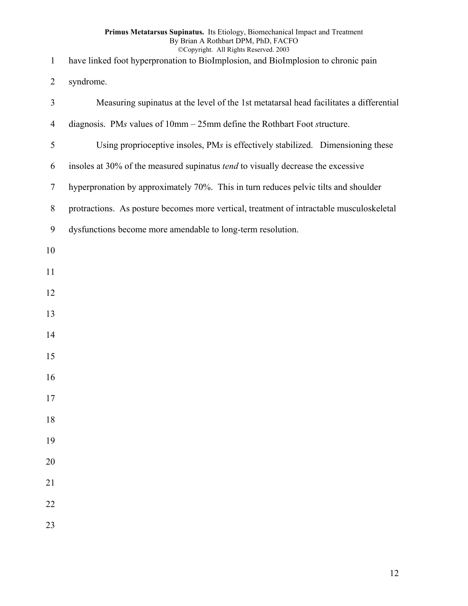have linked foot hyperpronation to BioImplosion, and BioImplosion to chronic pain

 syndrome.

| 3              | Measuring supinatus at the level of the 1st metatarsal head facilitates a differential   |
|----------------|------------------------------------------------------------------------------------------|
| $\overline{4}$ | diagnosis. PMs values of 10mm - 25mm define the Rothbart Foot structure.                 |
| 5              | Using proprioceptive insoles, PMs is effectively stabilized. Dimensioning these          |
| 6              | insoles at 30% of the measured supinatus <i>tend</i> to visually decrease the excessive  |
| $\tau$         | hyperpronation by approximately 70%. This in turn reduces pelvic tilts and shoulder      |
| $8\,$          | protractions. As posture becomes more vertical, treatment of intractable musculoskeletal |
| 9              | dysfunctions become more amendable to long-term resolution.                              |
| 10             |                                                                                          |
| 11             |                                                                                          |
| 12             |                                                                                          |
| 13             |                                                                                          |
| 14             |                                                                                          |
| 15             |                                                                                          |
| 16             |                                                                                          |
| 17             |                                                                                          |
| 18             |                                                                                          |
| 19             |                                                                                          |
| 20             |                                                                                          |
| 21             |                                                                                          |
| 22             |                                                                                          |
| 23             |                                                                                          |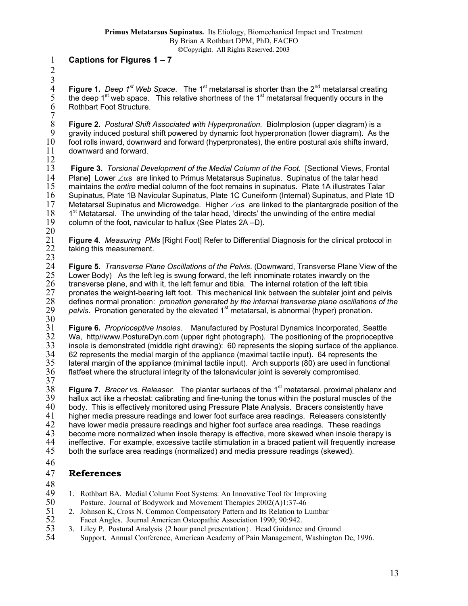#### 1 **Captions for Figures 1 – 7**

2 3

4 5 6

**Figure 1.** *Deep 1<sup>st</sup> Web Space*. The 1<sup>st</sup> metatarsal is shorter than the 2<sup>nd</sup> metatarsal creating the deep  $1<sup>st</sup>$  web space. This relative shortness of the  $1<sup>st</sup>$  metatarsal frequently occurs in the Rothbart Foot Structure.

7 8 9 10 11 12 **Figure 2.** *Postural Shift Associated with Hyperpronation.* BioImplosion (upper diagram) is a gravity induced postural shift powered by dynamic foot hyperpronation (lower diagram). As the foot rolls inward, downward and forward (hyperpronates), the entire postural axis shifts inward, downward and forward.

13 14 15 16 17 18 19 20 **Figure 3.** *Torsional Development of the Medial Column of the Foot.* [Sectional Views, Frontal Plane] Lower ∠αs are linked to Primus Metatarsus Supinatus. Supinatus of the talar head maintains the *entire* medial column of the foot remains in supinatus. Plate 1A illustrates Talar Supinatus, Plate 1B Navicular Supinatus, Plate 1C Cuneiform (Internal) Supinatus, and Plate 1D Metatarsal Supinatus and Microwedge. Higher  $\angle \alpha s$  are linked to the plantargrade position of the 1<sup>st</sup> Metatarsal. The unwinding of the talar head, 'directs' the unwinding of the entire medial column of the foot, navicular to hallux (See Plates 2A –D).

21  $\overline{22}$ **Figure 4**. *Measuring PMs* [Right Foot] Refer to Differential Diagnosis for the clinical protocol in taking this measurement.

23 24 25 26 27 28 29 **Figure 5.** *Transverse Plane Oscillations of the Pelvis*. (Downward, Transverse Plane View of the Lower Body) As the left leg is swung forward, the left innominate rotates inwardly on the transverse plane, and with it, the left femur and tibia. The internal rotation of the left tibia pronates the weight-bearing left foot. This mechanical link between the subtalar joint and pelvis defines normal pronation: *pronation generated by the internal transverse plane oscillations of the*  pelvis. Pronation generated by the elevated 1<sup>st</sup> metatarsal, is abnormal (hyper) pronation.

30

 $\overline{31}$ 32 33 34 35 36 **Figure 6.** *Proprioceptive Insoles*. Manufactured by Postural Dynamics Incorporated, Seattle Wa, http//www.PostureDyn.com (upper right photograph). The positioning of the proprioceptive insole is demonstrated (middle right drawing): 60 represents the sloping surface of the appliance. 62 represents the medial margin of the appliance (maximal tactile input). 64 represents the lateral margin of the appliance (minimal tactile input). Arch supports (80) are used in functional flatfeet where the structural integrity of the talonavicular joint is severely compromised.

37

38  $\frac{50}{39}$ 40 41 42 43 44 45 **Figure 7.** *Bracer vs. Releaser.* The plantar surfaces of the 1<sup>st</sup> metatarsal, proximal phalanx and hallux act like a rheostat: calibrating and fine-tuning the tonus within the postural muscles of the body. This is effectively monitored using Pressure Plate Analysis. Bracers consistently have higher media pressure readings and lower foot surface area readings. Releasers consistently have lower media pressure readings and higher foot surface area readings. These readings become more normalized when insole therapy is effective, more skewed when insole therapy is ineffective. For example, excessive tactile stimulation in a braced patient will frequently increase both the surface area readings (normalized) and media pressure readings (skewed).

46

#### 47 **References**

- 48
- 49 50 1. Rothbart BA. Medial Column Foot Systems: An Innovative Tool for Improving Posture. Journal of Bodywork and Movement Therapies 2002(A)1:37-46
- 51 2. Johnson K, Cross N. Common Compensatory Pattern and Its Relation to Lumbar
- 52 53 Facet Angles. Journal American Osteopathic Association 1990; 90:942. 3. Liley P. Postural Analysis {2 hour panel presentation}. Head Guidance and Ground
- 54 Support. Annual Conference, American Academy of Pain Management, Washington Dc, 1996.